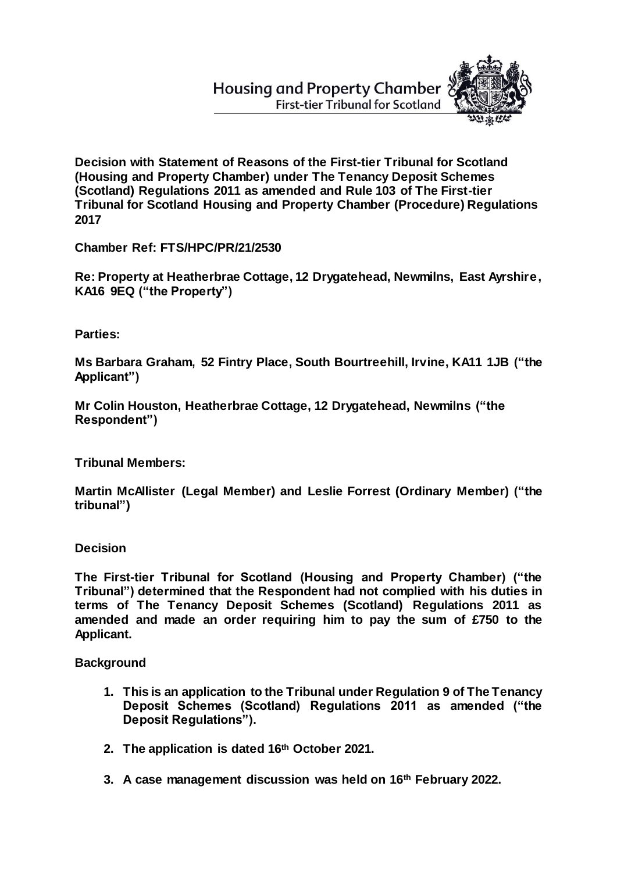**Housing and Property Chamber First-tier Tribunal for Scotland** 



**Decision with Statement of Reasons of the First-tier Tribunal for Scotland (Housing and Property Chamber) under The Tenancy Deposit Schemes (Scotland) Regulations 2011 as amended and Rule 103 of The First-tier Tribunal for Scotland Housing and Property Chamber (Procedure) Regulations 2017**

**Chamber Ref: FTS/HPC/PR/21/2530**

**Re: Property at Heatherbrae Cottage, 12 Drygatehead, Newmilns, East Ayrshire, KA16 9EQ ("the Property")**

**Parties:**

**Ms Barbara Graham, 52 Fintry Place, South Bourtreehill, Irvine, KA11 1JB ("the Applicant")**

**Mr Colin Houston, Heatherbrae Cottage, 12 Drygatehead, Newmilns ("the Respondent")** 

**Tribunal Members:**

**Martin McAllister (Legal Member) and Leslie Forrest (Ordinary Member) ("the tribunal")**

**Decision**

**The First-tier Tribunal for Scotland (Housing and Property Chamber) ("the Tribunal") determined that the Respondent had not complied with his duties in terms of The Tenancy Deposit Schemes (Scotland) Regulations 2011 as amended and made an order requiring him to pay the sum of £750 to the Applicant.**

**Background**

- **1. This is an application to the Tribunal under Regulation 9 of The Tenancy Deposit Schemes (Scotland) Regulations 2011 as amended ("the Deposit Regulations").**
- **2. The application is dated 16th October 2021.**
- **3. A case management discussion was held on 16th February 2022.**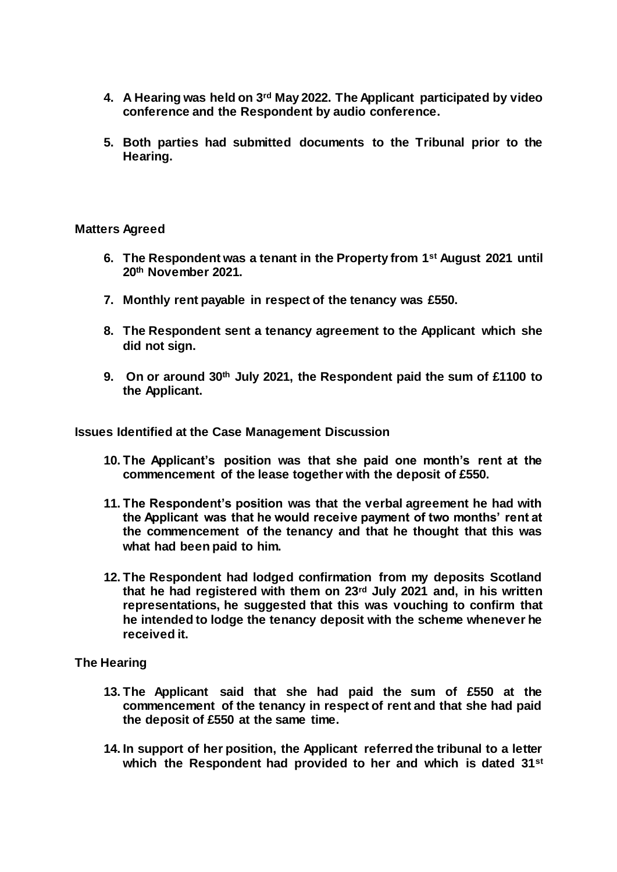- **4. A Hearing was held on 3rd May 2022. The Applicant participated by video conference and the Respondent by audio conference.**
- **5. Both parties had submitted documents to the Tribunal prior to the Hearing.**

### **Matters Agreed**

- **6. The Respondent was a tenant in the Property from 1st August 2021 until 20th November 2021.**
- **7. Monthly rent payable in respect of the tenancy was £550.**
- **8. The Respondent sent a tenancy agreement to the Applicant which she did not sign.**
- **9. On or around 30th July 2021, the Respondent paid the sum of £1100 to the Applicant.**

**Issues Identified at the Case Management Discussion**

- **10. The Applicant's position was that she paid one month's rent at the commencement of the lease together with the deposit of £550.**
- **11. The Respondent's position was that the verbal agreement he had with the Applicant was that he would receive payment of two months' rent at the commencement of the tenancy and that he thought that this was what had been paid to him.**
- **12. The Respondent had lodged confirmation from my deposits Scotland that he had registered with them on 23rd July 2021 and, in his written representations, he suggested that this was vouching to confirm that he intended to lodge the tenancy deposit with the scheme whenever he received it.**

# **The Hearing**

- **13. The Applicant said that she had paid the sum of £550 at the commencement of the tenancy in respect of rent and that she had paid the deposit of £550 at the same time.**
- **14. In support of her position, the Applicant referred the tribunal to a letter which the Respondent had provided to her and which is dated 31st**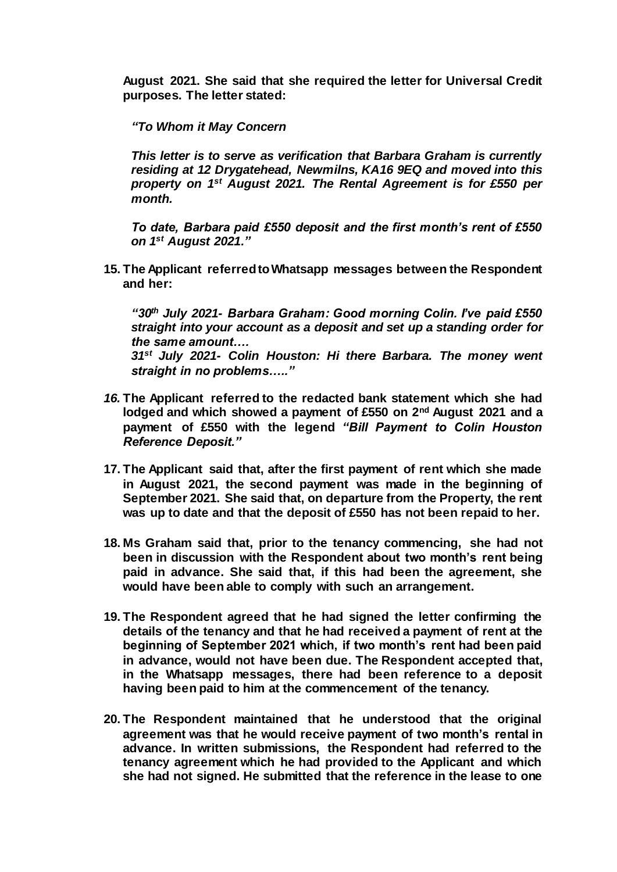**August 2021. She said that she required the letter for Universal Credit purposes. The letter stated:**

*"To Whom it May Concern*

*This letter is to serve as verification that Barbara Graham is currently residing at 12 Drygatehead, Newmilns, KA16 9EQ and moved into this property on 1st August 2021. The Rental Agreement is for £550 per month.*

*To date, Barbara paid £550 deposit and the first month's rent of £550 on 1st August 2021."*

**15. The Applicant referred to Whatsapp messages between the Respondent and her:**

*"30th July 2021- Barbara Graham: Good morning Colin. I've paid £550 straight into your account as a deposit and set up a standing order for the same amount…. 31st July 2021- Colin Houston: Hi there Barbara. The money went* 

*straight in no problems….."*

- *16.* **The Applicant referred to the redacted bank statement which she had lodged and which showed a payment of £550 on 2nd August 2021 and a payment of £550 with the legend** *"Bill Payment to Colin Houston Reference Deposit."*
- **17. The Applicant said that, after the first payment of rent which she made in August 2021, the second payment was made in the beginning of September 2021. She said that, on departure from the Property, the rent was up to date and that the deposit of £550 has not been repaid to her.**
- **18. Ms Graham said that, prior to the tenancy commencing, she had not been in discussion with the Respondent about two month's rent being paid in advance. She said that, if this had been the agreement, she would have been able to comply with such an arrangement.**
- **19. The Respondent agreed that he had signed the letter confirming the details of the tenancy and that he had received a payment of rent at the beginning of September 2021 which, if two month's rent had been paid in advance, would not have been due. The Respondent accepted that, in the Whatsapp messages, there had been reference to a deposit having been paid to him at the commencement of the tenancy.**
- **20. The Respondent maintained that he understood that the original agreement was that he would receive payment of two month's rental in advance. In written submissions, the Respondent had referred to the tenancy agreement which he had provided to the Applicant and which she had not signed. He submitted that the reference in the lease to one**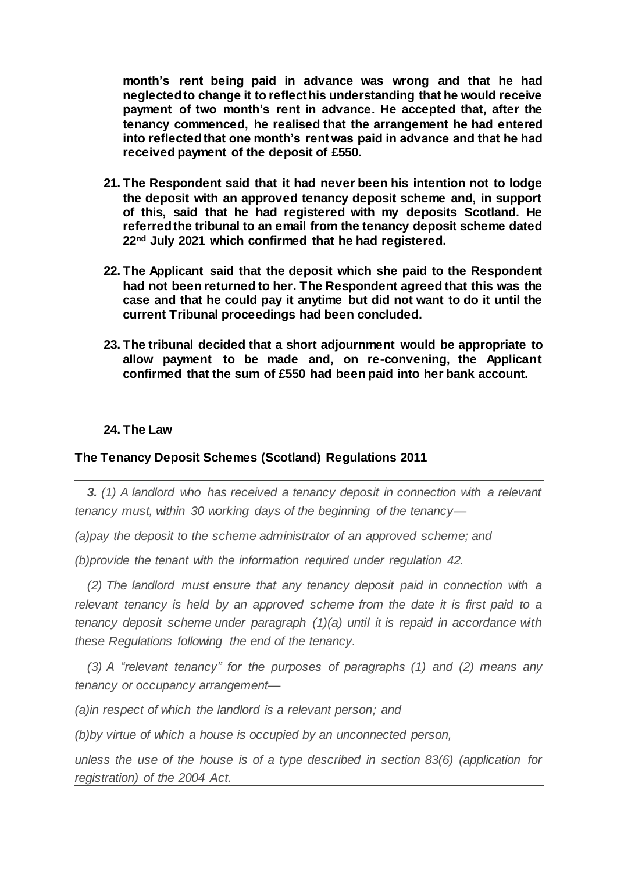**month's rent being paid in advance was wrong and that he had neglected to change it to reflect his understanding that he would receive payment of two month's rent in advance. He accepted that, after the tenancy commenced, he realised that the arrangement he had entered into reflectedthat one month's rent was paid in advance and that he had received payment of the deposit of £550.**

- **21. The Respondent said that it had never been his intention not to lodge the deposit with an approved tenancy deposit scheme and, in support of this, said that he had registered with my deposits Scotland. He referred the tribunal to an email from the tenancy deposit scheme dated 22nd July 2021 which confirmed that he had registered.**
- **22. The Applicant said that the deposit which she paid to the Respondent had not been returned to her. The Respondent agreed that this was the case and that he could pay it anytime but did not want to do it until the current Tribunal proceedings had been concluded.**
- **23. The tribunal decided that a short adjournment would be appropriate to allow payment to be made and, on re-convening, the Applicant confirmed that the sum of £550 had been paid into her bank account.**

## **24. The Law**

# **The Tenancy Deposit Schemes (Scotland) Regulations 2011**

*3. (1) A landlord who has received a tenancy deposit in connection with a relevant tenancy must, within 30 working days of the beginning of the tenancy—*

*(a)pay the deposit to the scheme administrator of an approved scheme; and*

*(b)provide the tenant with the information required under regulation 42.*

*(2) The landlord must ensure that any tenancy deposit paid in connection with a relevant tenancy is held by an approved scheme from the date it is first paid to a tenancy deposit scheme under paragraph (1)(a) until it is repaid in accordance with these Regulations following the end of the tenancy.* 

*(3) A "relevant tenancy" for the purposes of paragraphs (1) and (2) means any tenancy or occupancy arrangement—*

*(a)in respect of which the landlord is a relevant person; and*

*(b)by virtue of which a house is occupied by an unconnected person,*

*unless the use of the house is of a type described in section 83(6) (application for registration) of the 2004 Act.*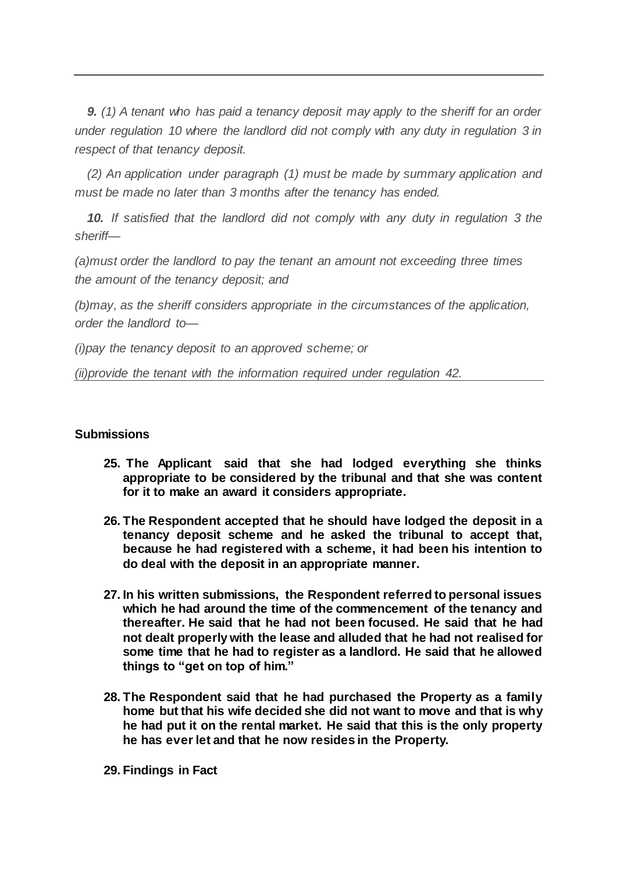*9. (1) A tenant who has paid a tenancy deposit may apply to the sheriff for an order under regulation 10 where the landlord did not comply with any duty in regulation 3 in respect of that tenancy deposit.* 

*(2) An application under paragraph (1) must be made by summary application and must be made no later than 3 months after the tenancy has ended.* 

*10. If satisfied that the landlord did not comply with any duty in regulation 3 the sheriff—*

*(a)must order the landlord to pay the tenant an amount not exceeding three times the amount of the tenancy deposit; and*

*(b)may, as the sheriff considers appropriate in the circumstances of the application, order the landlord to—*

*(i)pay the tenancy deposit to an approved scheme; or*

*(ii)provide the tenant with the information required under regulation 42.*

## **Submissions**

- **25. The Applicant said that she had lodged everything she thinks appropriate to be considered by the tribunal and that she was content for it to make an award it considers appropriate.**
- **26. The Respondent accepted that he should have lodged the deposit in a tenancy deposit scheme and he asked the tribunal to accept that, because he had registered with a scheme, it had been his intention to do deal with the deposit in an appropriate manner.**
- **27. In his written submissions, the Respondent referred to personal issues which he had around the time of the commencement of the tenancy and thereafter. He said that he had not been focused. He said that he had not dealt properly with the lease and alluded that he had not realised for some time that he had to register as a landlord. He said that he allowed things to "get on top of him."**
- **28. The Respondent said that he had purchased the Property as a family home but that his wife decided she did not want to move and that is why he had put it on the rental market. He said that this is the only property he has ever let and that he now resides in the Property.**

**29. Findings in Fact**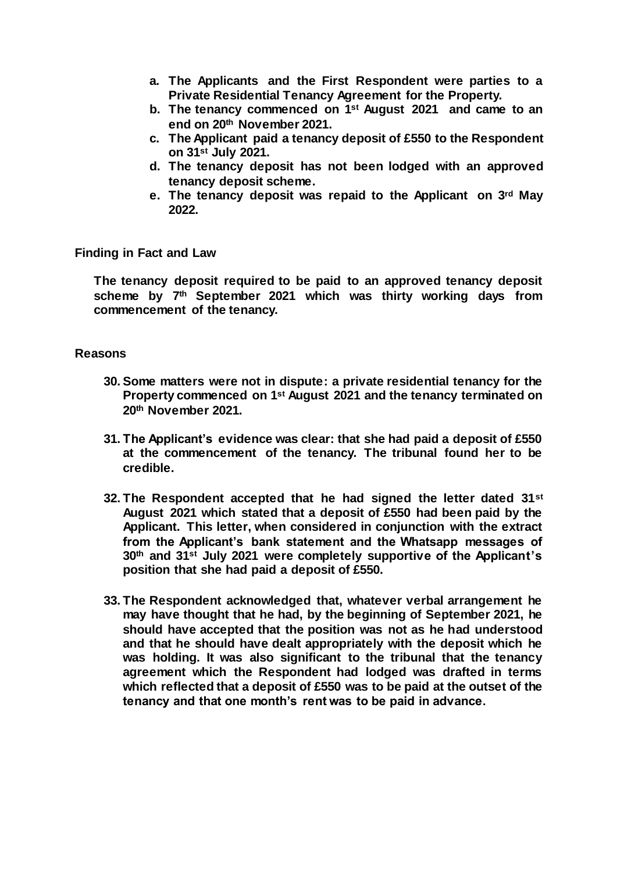- **a. The Applicants and the First Respondent were parties to a Private Residential Tenancy Agreement for the Property.**
- **b. The tenancy commenced on 1st August 2021 and came to an end on 20th November 2021.**
- **c. The Applicant paid a tenancy deposit of £550 to the Respondent on 31st July 2021.**
- **d. The tenancy deposit has not been lodged with an approved tenancy deposit scheme.**
- **e. The tenancy deposit was repaid to the Applicant on 3rd May 2022.**

**Finding in Fact and Law**

**The tenancy deposit required to be paid to an approved tenancy deposit scheme by 7th September 2021 which was thirty working days from commencement of the tenancy.**

#### **Reasons**

- **30. Some matters were not in dispute: a private residential tenancy for the Property commenced on 1st August 2021 and the tenancy terminated on 20th November 2021.**
- **31. The Applicant's evidence was clear: that she had paid a deposit of £550 at the commencement of the tenancy. The tribunal found her to be credible.**
- **32. The Respondent accepted that he had signed the letter dated 31st August 2021 which stated that a deposit of £550 had been paid by the Applicant. This letter, when considered in conjunction with the extract from the Applicant's bank statement and the Whatsapp messages of 30th and 31st July 2021 were completely supportive of the Applicant's position that she had paid a deposit of £550.**
- **33. The Respondent acknowledged that, whatever verbal arrangement he may have thought that he had, by the beginning of September 2021, he should have accepted that the position was not as he had understood and that he should have dealt appropriately with the deposit which he was holding. It was also significant to the tribunal that the tenancy agreement which the Respondent had lodged was drafted in terms which reflected that a deposit of £550 was to be paid at the outset of the tenancy and that one month's rent was to be paid in advance.**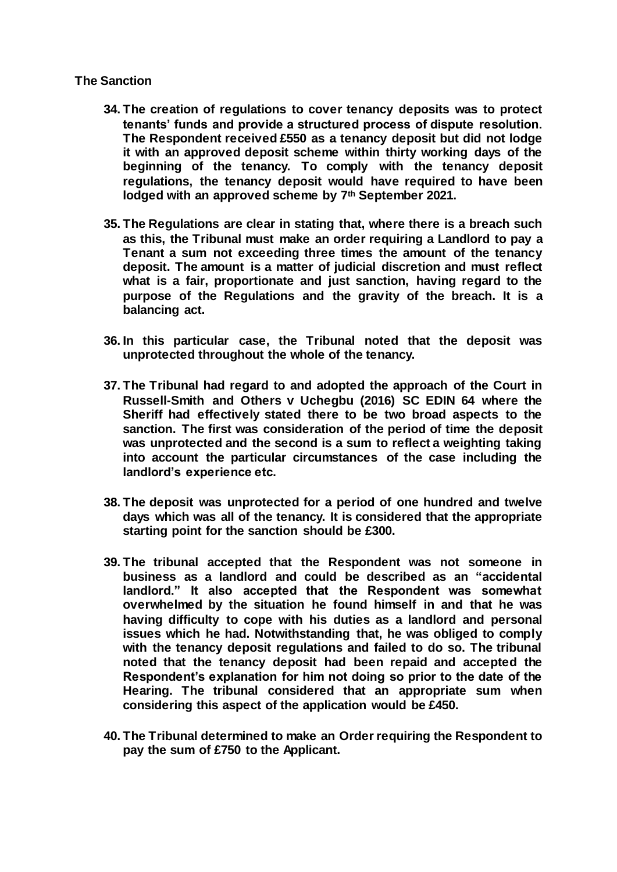### **The Sanction**

- **34. The creation of regulations to cover tenancy deposits was to protect tenants' funds and provide a structured process of dispute resolution. The Respondent received £550 as a tenancy deposit but did not lodge it with an approved deposit scheme within thirty working days of the beginning of the tenancy. To comply with the tenancy deposit regulations, the tenancy deposit would have required to have been lodged with an approved scheme by 7th September 2021.**
- **35. The Regulations are clear in stating that, where there is a breach such as this, the Tribunal must make an order requiring a Landlord to pay a Tenant a sum not exceeding three times the amount of the tenancy deposit. The amount is a matter of judicial discretion and must reflect what is a fair, proportionate and just sanction, having regard to the purpose of the Regulations and the gravity of the breach. It is a balancing act.**
- **36. In this particular case, the Tribunal noted that the deposit was unprotected throughout the whole of the tenancy.**
- **37. The Tribunal had regard to and adopted the approach of the Court in Russell-Smith and Others v Uchegbu (2016) SC EDIN 64 where the Sheriff had effectively stated there to be two broad aspects to the sanction. The first was consideration of the period of time the deposit was unprotected and the second is a sum to reflect a weighting taking into account the particular circumstances of the case including the landlord's experience etc.**
- **38. The deposit was unprotected for a period of one hundred and twelve days which was all of the tenancy. It is considered that the appropriate starting point for the sanction should be £300.**
- **39. The tribunal accepted that the Respondent was not someone in business as a landlord and could be described as an "accidental landlord." It also accepted that the Respondent was somewhat overwhelmed by the situation he found himself in and that he was having difficulty to cope with his duties as a landlord and personal issues which he had. Notwithstanding that, he was obliged to comply with the tenancy deposit regulations and failed to do so. The tribunal noted that the tenancy deposit had been repaid and accepted the Respondent's explanation for him not doing so prior to the date of the Hearing. The tribunal considered that an appropriate sum when considering this aspect of the application would be £450.**
- **40. The Tribunal determined to make an Order requiring the Respondent to pay the sum of £750 to the Applicant.**